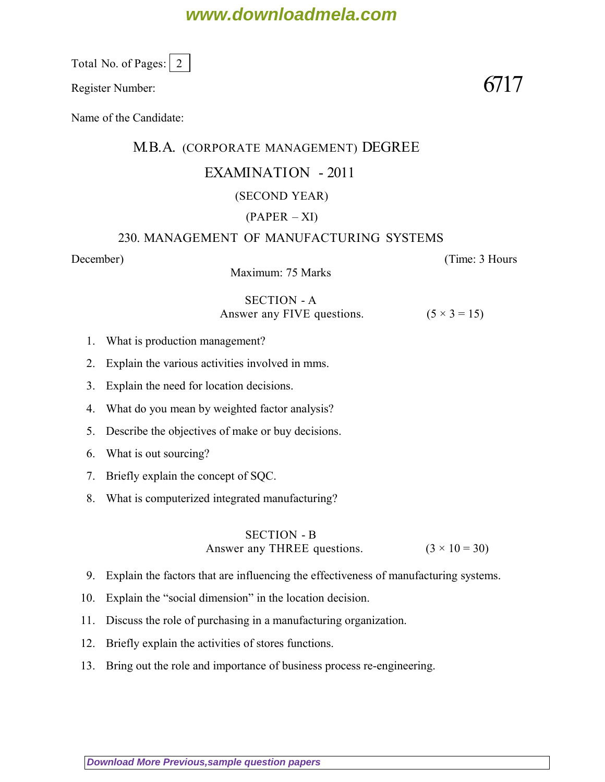# **www.downloadmela.com**

Total No. of Pages: 2

Register Number:  $6717$ 

Name of the Candidate:

## M.B.A. (CORPORATE MANAGEMENT) DEGREE

## EXAMINATION - 2011

### (SECOND YEAR)

## $(PAPER - XI)$

#### 230. MANAGEMENT OF MANUFACTURING SYSTEMS

Maximum: 75 Marks

#### SECTION - A Answer any FIVE questions.  $(5 \times 3 = 15)$

- 1. What is production management?
- 2. Explain the various activities involved in mms.
- 3. Explain the need for location decisions.
- 4. What do you mean by weighted factor analysis?
- 5. Describe the objectives of make or buy decisions.
- 6. What is out sourcing?
- 7. Briefly explain the concept of SQC.
- 8. What is computerized integrated manufacturing?

# SECTION - B Answer any THREE questions.  $(3 \times 10 = 30)$

- 9. Explain the factors that are influencing the effectiveness of manufacturing systems.
- 10. Explain the "social dimension" in the location decision.
- 11. Discuss the role of purchasing in a manufacturing organization.
- 12. Briefly explain the activities of stores functions.
- 13. Bring out the role and importance of business process re-engineering.

*December*) (*Time: 3 Hours*